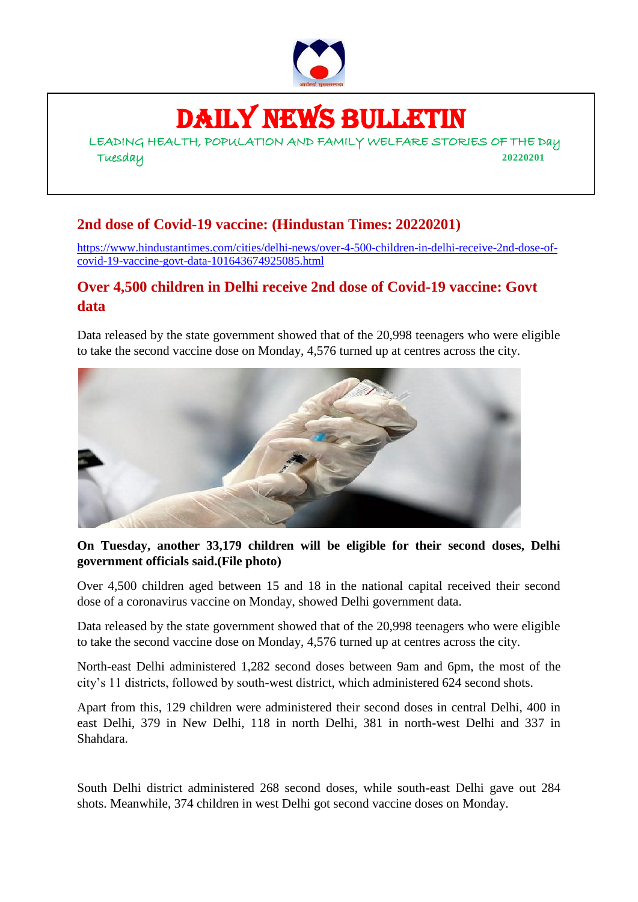

# DAILY NEWS BULLETIN

LEADING HEALTH, POPULATION AND FAMILY WELFARE STORIES OF THE Day Tuesday **20220201**

## **2nd dose of Covid-19 vaccine: (Hindustan Times: 20220201)**

[https://www.hindustantimes.com/cities/delhi-news/over-4-500-children-in-delhi-receive-2nd-dose-of](https://www.hindustantimes.com/cities/delhi-news/over-4-500-children-in-delhi-receive-2nd-dose-of-covid-19-vaccine-govt-data-101643674925085.html)[covid-19-vaccine-govt-data-101643674925085.html](https://www.hindustantimes.com/cities/delhi-news/over-4-500-children-in-delhi-receive-2nd-dose-of-covid-19-vaccine-govt-data-101643674925085.html)

#### **Over 4,500 children in Delhi receive 2nd dose of Covid-19 vaccine: Govt data**

Data released by the state government showed that of the 20,998 teenagers who were eligible to take the second vaccine dose on Monday, 4,576 turned up at centres across the city.



#### **On Tuesday, another 33,179 children will be eligible for their second doses, Delhi government officials said.(File photo)**

Over 4,500 children aged between 15 and 18 in the national capital received their second dose of a coronavirus vaccine on Monday, showed Delhi government data.

Data released by the state government showed that of the 20,998 teenagers who were eligible to take the second vaccine dose on Monday, 4,576 turned up at centres across the city.

North-east Delhi administered 1,282 second doses between 9am and 6pm, the most of the city's 11 districts, followed by south-west district, which administered 624 second shots.

Apart from this, 129 children were administered their second doses in central Delhi, 400 in east Delhi, 379 in New Delhi, 118 in north Delhi, 381 in north-west Delhi and 337 in Shahdara.

South Delhi district administered 268 second doses, while south-east Delhi gave out 284 shots. Meanwhile, 374 children in west Delhi got second vaccine doses on Monday.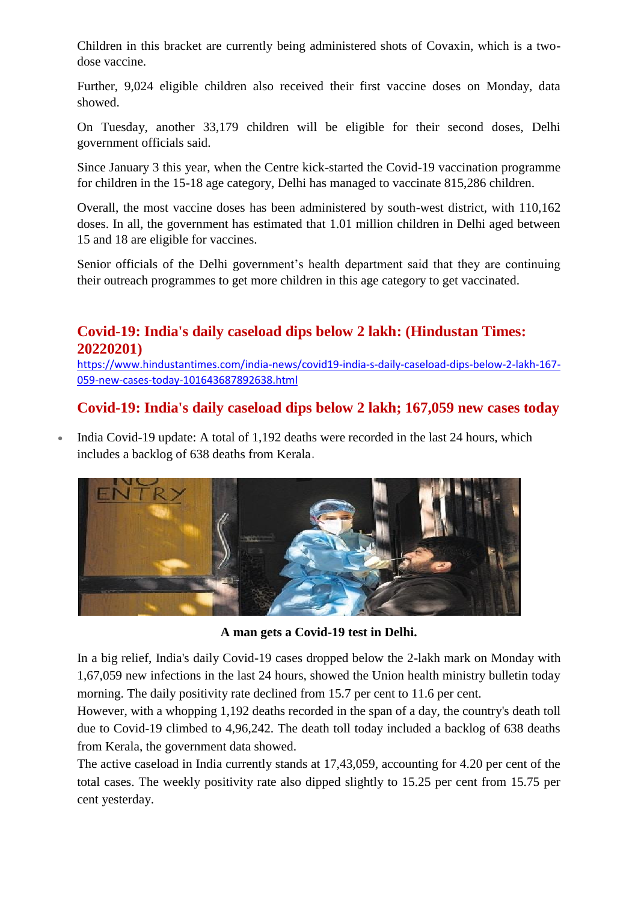Children in this bracket are currently being administered shots of Covaxin, which is a twodose vaccine.

Further, 9,024 eligible children also received their first vaccine doses on Monday, data showed.

On Tuesday, another 33,179 children will be eligible for their second doses, Delhi government officials said.

Since January 3 this year, when the Centre kick-started the Covid-19 vaccination programme for children in the 15-18 age category, Delhi has managed to vaccinate 815,286 children.

Overall, the most vaccine doses has been administered by south-west district, with 110,162 doses. In all, the government has estimated that 1.01 million children in Delhi aged between 15 and 18 are eligible for vaccines.

Senior officials of the Delhi government's health department said that they are continuing their outreach programmes to get more children in this age category to get vaccinated.

### **Covid-19: India's daily caseload dips below 2 lakh: (Hindustan Times: 20220201)**

[https://www.hindustantimes.com/india-news/covid19-india-s-daily-caseload-dips-below-2-lakh-167-](https://www.hindustantimes.com/india-news/covid19-india-s-daily-caseload-dips-below-2-lakh-167-059-new-cases-today-101643687892638.html) [059-new-cases-today-101643687892638.html](https://www.hindustantimes.com/india-news/covid19-india-s-daily-caseload-dips-below-2-lakh-167-059-new-cases-today-101643687892638.html)

### **Covid-19: India's daily caseload dips below 2 lakh; 167,059 new cases today**

 India Covid-19 update: A total of 1,192 deaths were recorded in the last 24 hours, which includes a backlog of 638 deaths from Kerala.



**A man gets a Covid-19 test in Delhi.**

In a big relief, India's daily Covid-19 cases dropped below the 2-lakh mark on Monday with 1,67,059 new infections in the last 24 hours, showed the Union health ministry bulletin today morning. The daily positivity rate declined from 15.7 per cent to 11.6 per cent.

However, with a whopping 1,192 deaths recorded in the span of a day, the country's death toll due to Covid-19 climbed to 4,96,242. The death toll today included a backlog of 638 deaths from Kerala, the government data showed.

The active caseload in India currently stands at 17,43,059, accounting for 4.20 per cent of the total cases. The weekly positivity rate also dipped slightly to 15.25 per cent from 15.75 per cent yesterday.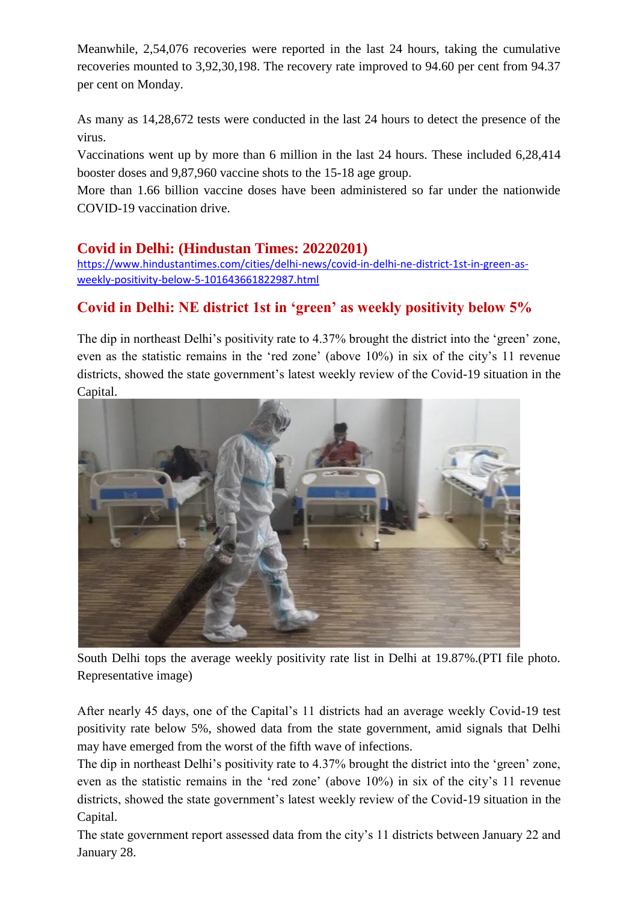Meanwhile, 2,54,076 recoveries were reported in the last 24 hours, taking the cumulative recoveries mounted to 3,92,30,198. The recovery rate improved to 94.60 per cent from 94.37 per cent on Monday.

As many as 14,28,672 tests were conducted in the last 24 hours to detect the presence of the virus.

Vaccinations went up by more than 6 million in the last 24 hours. These included 6,28,414 booster doses and 9,87,960 vaccine shots to the 15-18 age group.

More than 1.66 billion vaccine doses have been administered so far under the nationwide COVID-19 vaccination drive.

#### **Covid in Delhi: (Hindustan Times: 20220201)**

[https://www.hindustantimes.com/cities/delhi-news/covid-in-delhi-ne-district-1st-in-green-as](https://www.hindustantimes.com/cities/delhi-news/covid-in-delhi-ne-district-1st-in-green-as-weekly-positivity-below-5-101643661822987.html)[weekly-positivity-below-5-101643661822987.html](https://www.hindustantimes.com/cities/delhi-news/covid-in-delhi-ne-district-1st-in-green-as-weekly-positivity-below-5-101643661822987.html)

## **Covid in Delhi: NE district 1st in 'green' as weekly positivity below 5%**

The dip in northeast Delhi's positivity rate to 4.37% brought the district into the 'green' zone, even as the statistic remains in the 'red zone' (above 10%) in six of the city's 11 revenue districts, showed the state government's latest weekly review of the Covid-19 situation in the Capital.



South Delhi tops the average weekly positivity rate list in Delhi at 19.87%.(PTI file photo. Representative image)

After nearly 45 days, one of the Capital's 11 districts had an average weekly Covid-19 test positivity rate below 5%, showed data from the state government, amid signals that Delhi may have emerged from the worst of the fifth wave of infections.

The dip in northeast Delhi's positivity rate to 4.37% brought the district into the 'green' zone, even as the statistic remains in the 'red zone' (above 10%) in six of the city's 11 revenue districts, showed the state government's latest weekly review of the Covid-19 situation in the Capital.

The state government report assessed data from the city's 11 districts between January 22 and January 28.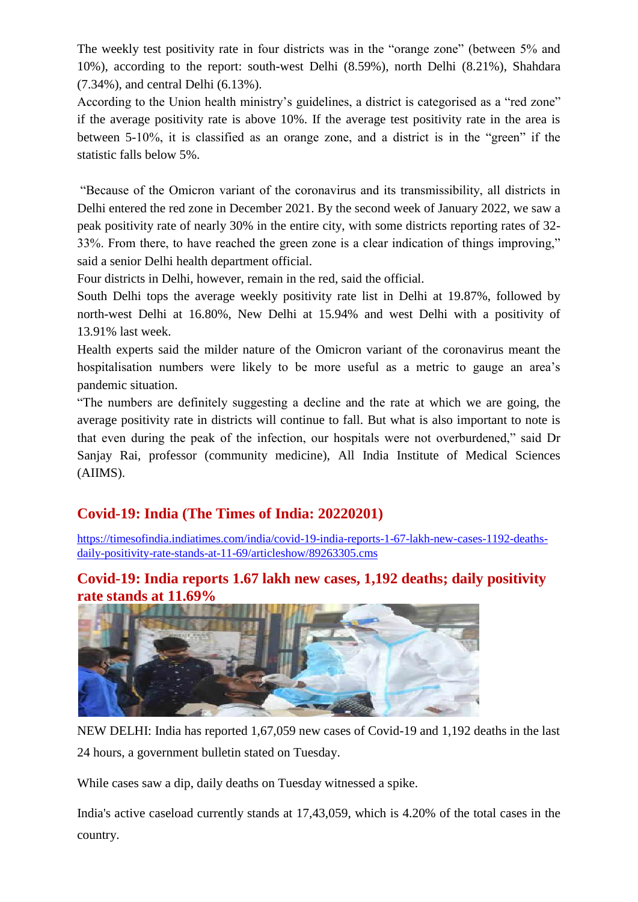The weekly test positivity rate in four districts was in the "orange zone" (between 5% and 10%), according to the report: south-west Delhi (8.59%), north Delhi (8.21%), Shahdara (7.34%), and central Delhi (6.13%).

According to the Union health ministry's guidelines, a district is categorised as a "red zone" if the average positivity rate is above 10%. If the average test positivity rate in the area is between 5-10%, it is classified as an orange zone, and a district is in the "green" if the statistic falls below 5%.

"Because of the Omicron variant of the coronavirus and its transmissibility, all districts in Delhi entered the red zone in December 2021. By the second week of January 2022, we saw a peak positivity rate of nearly 30% in the entire city, with some districts reporting rates of 32- 33%. From there, to have reached the green zone is a clear indication of things improving," said a senior Delhi health department official.

Four districts in Delhi, however, remain in the red, said the official.

South Delhi tops the average weekly positivity rate list in Delhi at 19.87%, followed by north-west Delhi at 16.80%, New Delhi at 15.94% and west Delhi with a positivity of 13.91% last week.

Health experts said the milder nature of the Omicron variant of the coronavirus meant the hospitalisation numbers were likely to be more useful as a metric to gauge an area's pandemic situation.

"The numbers are definitely suggesting a decline and the rate at which we are going, the average positivity rate in districts will continue to fall. But what is also important to note is that even during the peak of the infection, our hospitals were not overburdened," said Dr Sanjay Rai, professor (community medicine), All India Institute of Medical Sciences (AIIMS).

#### **Covid-19: India (The Times of India: 20220201)**

[https://timesofindia.indiatimes.com/india/covid-19-india-reports-1-67-lakh-new-cases-1192-deaths](https://timesofindia.indiatimes.com/india/covid-19-india-reports-1-67-lakh-new-cases-1192-deaths-daily-positivity-rate-stands-at-11-69/articleshow/89263305.cms)[daily-positivity-rate-stands-at-11-69/articleshow/89263305.cms](https://timesofindia.indiatimes.com/india/covid-19-india-reports-1-67-lakh-new-cases-1192-deaths-daily-positivity-rate-stands-at-11-69/articleshow/89263305.cms)

#### **Covid-19: India reports 1.67 lakh new cases, 1,192 deaths; daily positivity rate stands at 11.69%**



NEW DELHI: India has reported 1,67,059 new cases of Covid-19 and 1,192 deaths in the last 24 hours, a government bulletin stated on Tuesday.

While cases saw a dip, daily deaths on Tuesday witnessed a spike.

India's active caseload currently stands at 17,43,059, which is 4.20% of the total cases in the country.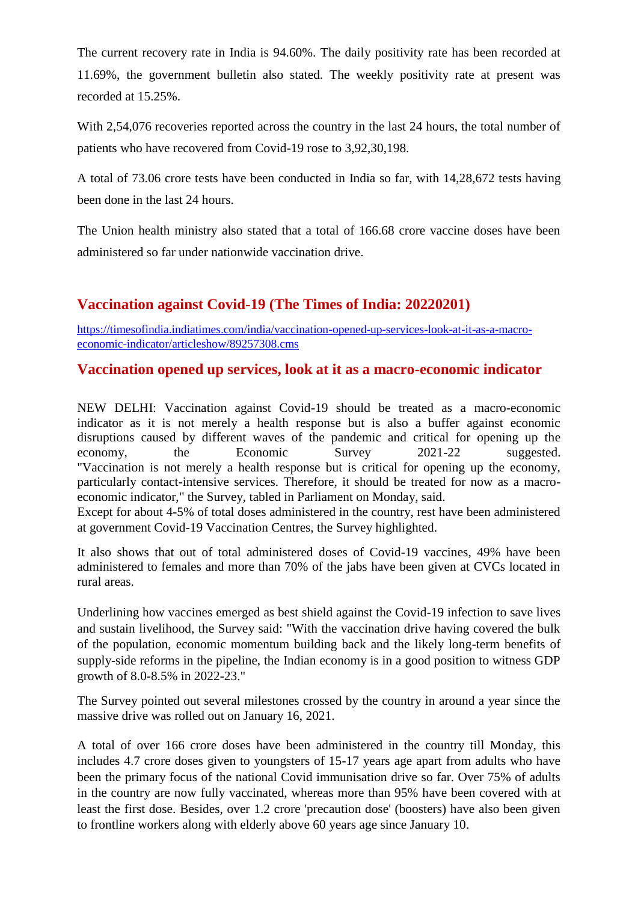The current recovery rate in India is 94.60%. The daily positivity rate has been recorded at 11.69%, the government bulletin also stated. The weekly positivity rate at present was recorded at 15.25%.

With 2,54,076 recoveries reported across the country in the last 24 hours, the total number of patients who have recovered from Covid-19 rose to 3,92,30,198.

A total of 73.06 crore tests have been conducted in India so far, with 14,28,672 tests having been done in the last 24 hours.

The Union health ministry also stated that a total of 166.68 crore vaccine doses have been administered so far under nationwide vaccination drive.

#### **Vaccination against Covid-19 (The Times of India: 20220201)**

[https://timesofindia.indiatimes.com/india/vaccination-opened-up-services-look-at-it-as-a-macro](https://timesofindia.indiatimes.com/india/vaccination-opened-up-services-look-at-it-as-a-macro-economic-indicator/articleshow/89257308.cms)[economic-indicator/articleshow/89257308.cms](https://timesofindia.indiatimes.com/india/vaccination-opened-up-services-look-at-it-as-a-macro-economic-indicator/articleshow/89257308.cms)

#### **Vaccination opened up services, look at it as a macro-economic indicator**

NEW DELHI: Vaccination against Covid-19 should be treated as a macro-economic indicator as it is not merely a health response but is also a buffer against economic disruptions caused by different waves of the pandemic and critical for opening up the economy, the Economic Survey 2021-22 suggested. "Vaccination is not merely a health response but is critical for opening up the economy, particularly contact-intensive services. Therefore, it should be treated for now as a macroeconomic indicator," the Survey, tabled in Parliament on Monday, said.

Except for about 4-5% of total doses administered in the country, rest have been administered at government Covid-19 Vaccination Centres, the Survey highlighted.

It also shows that out of total administered doses of Covid-19 vaccines, 49% have been administered to females and more than 70% of the jabs have been given at CVCs located in rural areas.

Underlining how vaccines emerged as best shield against the Covid-19 infection to save lives and sustain livelihood, the Survey said: "With the vaccination drive having covered the bulk of the population, economic momentum building back and the likely long-term benefits of supply-side reforms in the pipeline, the Indian economy is in a good position to witness GDP growth of 8.0-8.5% in 2022-23."

The Survey pointed out several milestones crossed by the country in around a year since the massive drive was rolled out on January 16, 2021.

A total of over 166 crore doses have been administered in the country till Monday, this includes 4.7 crore doses given to youngsters of 15-17 years age apart from adults who have been the primary focus of the national Covid immunisation drive so far. Over 75% of adults in the country are now fully vaccinated, whereas more than 95% have been covered with at least the first dose. Besides, over 1.2 crore 'precaution dose' (boosters) have also been given to frontline workers along with elderly above 60 years age since January 10.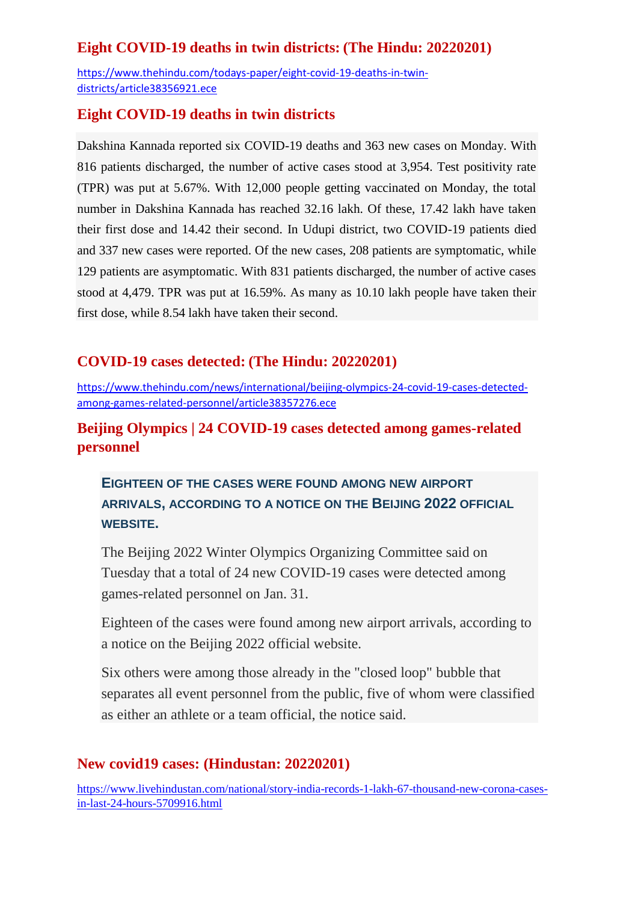### **Eight COVID-19 deaths in twin districts: (The Hindu: 20220201)**

[https://www.thehindu.com/todays-paper/eight-covid-19-deaths-in-twin](https://www.thehindu.com/todays-paper/eight-covid-19-deaths-in-twin-districts/article38356921.ece)[districts/article38356921.ece](https://www.thehindu.com/todays-paper/eight-covid-19-deaths-in-twin-districts/article38356921.ece)

#### **Eight COVID-19 deaths in twin districts**

Dakshina Kannada reported six COVID-19 deaths and 363 new cases on Monday. With 816 patients discharged, the number of active cases stood at 3,954. Test positivity rate (TPR) was put at 5.67%. With 12,000 people getting vaccinated on Monday, the total number in Dakshina Kannada has reached 32.16 lakh. Of these, 17.42 lakh have taken their first dose and 14.42 their second. In Udupi district, two COVID-19 patients died and 337 new cases were reported. Of the new cases, 208 patients are symptomatic, while 129 patients are asymptomatic. With 831 patients discharged, the number of active cases stood at 4,479. TPR was put at 16.59%. As many as 10.10 lakh people have taken their first dose, while 8.54 lakh have taken their second.

#### **COVID-19 cases detected: (The Hindu: 20220201)**

[https://www.thehindu.com/news/international/beijing-olympics-24-covid-19-cases-detected](https://www.thehindu.com/news/international/beijing-olympics-24-covid-19-cases-detected-among-games-related-personnel/article38357276.ece)[among-games-related-personnel/article38357276.ece](https://www.thehindu.com/news/international/beijing-olympics-24-covid-19-cases-detected-among-games-related-personnel/article38357276.ece)

#### **Beijing Olympics | 24 COVID-19 cases detected among games-related personnel**

## **EIGHTEEN OF THE CASES WERE FOUND AMONG NEW AIRPORT ARRIVALS, ACCORDING TO A NOTICE ON THE BEIJING 2022 OFFICIAL WEBSITE.**

The Beijing 2022 Winter Olympics Organizing Committee said on Tuesday that a total of 24 new COVID-19 cases were detected among games-related personnel on Jan. 31.

Eighteen of the cases were found among new airport arrivals, according to a notice on the Beijing 2022 official website.

Six others were among those already in the "closed loop" bubble that separates all event personnel from the public, five of whom were classified as either an athlete or a team official, the notice said.

#### **New covid19 cases: (Hindustan: 20220201)**

[https://www.livehindustan.com/national/story-india-records-1-lakh-67-thousand-new-corona-cases](https://www.livehindustan.com/national/story-india-records-1-lakh-67-thousand-new-corona-cases-in-last-24-hours-5709916.html)[in-last-24-hours-5709916.html](https://www.livehindustan.com/national/story-india-records-1-lakh-67-thousand-new-corona-cases-in-last-24-hours-5709916.html)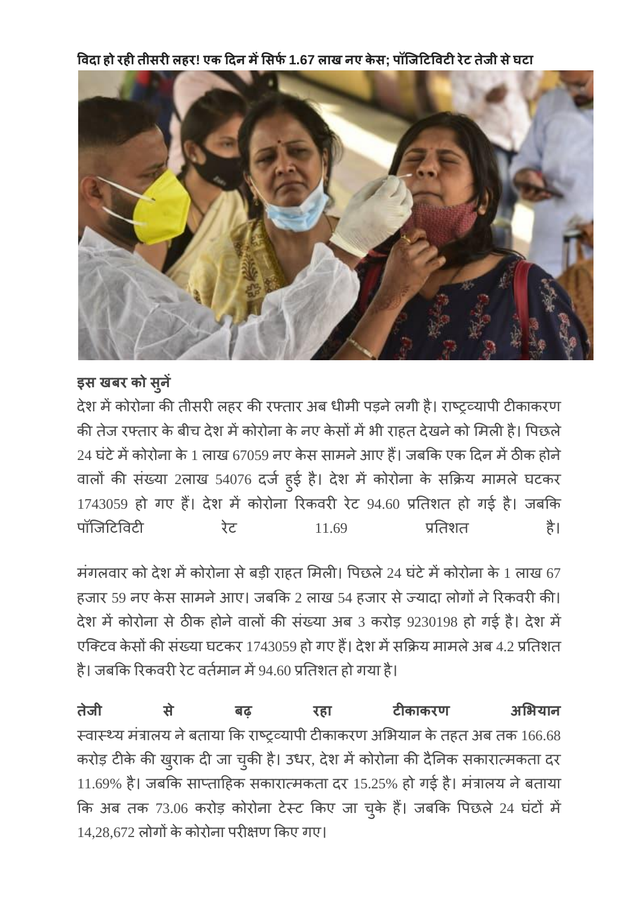विदा हो रही तीसरी लहर! एक दिन में सिर्फ 1.67 लाख नए केस; पॉजिटिविटी रेट तेजी से घटा



## इस खबर को सुने

देश में कोरोना की तीसरी लहर की रफ्तार अब धीमी पड़ने लगी है। राष्ट्रव्यापी टीकाकरण की तेज रफ्तार के बीच देश में कोरोना के नए केसों में भी राहत देखने को मिली है। पिछले  $24$  घंटे में कोरोना के 1 लाख 67059 नए केस सामने आए हैं। जबकि एक दिन में ठीक होने वालों की संख्या 2लाख 54076 दर्ज हुई है। देश में कोरोना के सक्रिय मामले घटकर 1743059 हो गए हैं। देश में कोरोना रिकवरी रेट 94.60 प्रतिशत हो गई है। जबकि पॉजिटिविटी रेट  $11.69$  प्रतिशत है।

मंगलवार को देश में कोरोना से बड़ी राहत मिली। पिछले 24 घंटे में कोरोना के 1 लाख 67 हजार 59 नए केस सामने आए। जबकि 2 लाख 54 हजार से ज्यादा लोगों ने रिकवरी की। देश में कोरोना से ठीक होने वालों की संख्या अब 3 करोड़ 9230198 हो गई है। देश में एक्टिव केसों की संख्या घटकर 1743059 हो गए हैं। देश में सक्रिय मामले अब 4.2 प्रतिशत है। जबकि रिकवरी रेट वर्तमान में 94.60 प्रतिशत हो गया है।

अभियान तेजी से बढ़ रहा टीकाकर स्वास्थ्य मंत्रालय ने बताया कि राष्ट्रव्यापी टीकाकरण अभियान के तहत अब तक 166.68 करोड़ टीके की खुराक दी जा चुकी है। उधर,  $11.69%$  है। जबकि साप्ताहिक सकारात्मकता दर  $15.25%$  हो गई है। मंत्रालय ने बताया कि अब तक 73.06 करोड़ कोरोना टेस्ट किए जा चुके हैं। जबकि पिछले 24  $14,28,672$  लोगों के कोरोना परीक्षण किए गए।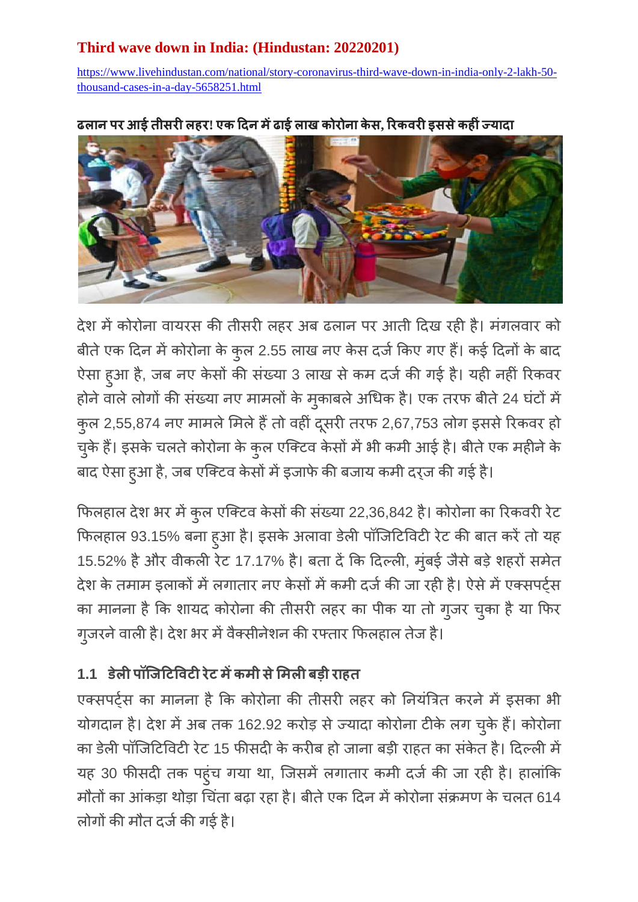## **Third wave down in India: (Hindustan: 20220201)**

[https://www.livehindustan.com/national/story-coronavirus-third-wave-down-in-india-only-2-lakh-50](https://www.livehindustan.com/national/story-coronavirus-third-wave-down-in-india-only-2-lakh-50-thousand-cases-in-a-day-5658251.html) [thousand-cases-in-a-day-5658251.html](https://www.livehindustan.com/national/story-coronavirus-third-wave-down-in-india-only-2-lakh-50-thousand-cases-in-a-day-5658251.html)

### **ल आई ल ! एक ई ल क क , क इ क**

देश में कोरोना वायरस की तीसरी लहर अब ढलान पर आती दिख रही है। मंगलवार को बीते एक दिन में कोरोना के कुल 2.55 लाख नए केस दर्ज किए गए हैं। कई दिनों के बा ऐसा हुआ है, जब नए केसों की संख्या 3 लाख से कम दर्ज की गई है। यही नहीं होने वाले लोगों की संख्या नए मामलों के मुकाबले अधिक है। एक तरफ बीते 24 कुल 2,55,874 नए मामले मिले हैं तो वही दूसरी तरफ 2,67,753 लोग इससे रिकवर हो चुके हैं। इसके चलते कोरोना के कुल एक्टिव केसों में भी कमी आई है। बीते एक मही बाद ऐसा हुआ है, जब एक्टिव केसों में इजाफे की बजाय कमी दर्ज की गई है।

फिलहाल देश भर में कुल एक्टिव केसों की संख्या 22,36,842 है। फिलहाल 93.15% बना हुआ है। इसके अलावा डेली पॉजिटिविटी रेट की बात करें तो यह 15.52% है और वीकली रेट 17.17% है। बता दें कि दिल्ली, मुंबई जैसे बड़े शहर देश के तमाम इलाकों में लगातार नए केसों में कमी दर्ज की जा रही है। ऐसे में एक्सपर्ट्स का मानना है कि शायद कोरोना की तीसरी लहर का पीक या तो गुजर चुका है या फिर गुजरने वाली है। देश भर में वैक्सीनेशन की रफ्तार फिलहाल तेज हैं।

## 1.1 डेली पॉजिटिविटी रेट में कमी से मिली बड़ी राहत

एक्सपर्ट्स का मानना है कि कोरोना की तीसरी लहर को नियंत्रित करने में इसका भी योगदान है। देश में अब तक 162.92 करोड़ से ज्यादा कोरोना टीके लग चुके हैं। का डेली पॉजिटिविटी रेट 15 फीसदी के करीब हो जाना बड़ी राहत का संकेत है। दिल्ली में यह 30 फीसदी तक पहुंच गया था, जिसमें लगातार कमी दर्ज की जा रही है। हालांकि मौतों का आंकड़ा थोड़ा चिंता बढ़ा रहा है। बीते एक दिन में कोरोना संक्रमण के चलत 614 लोगों की मौत दर्ज की गई है।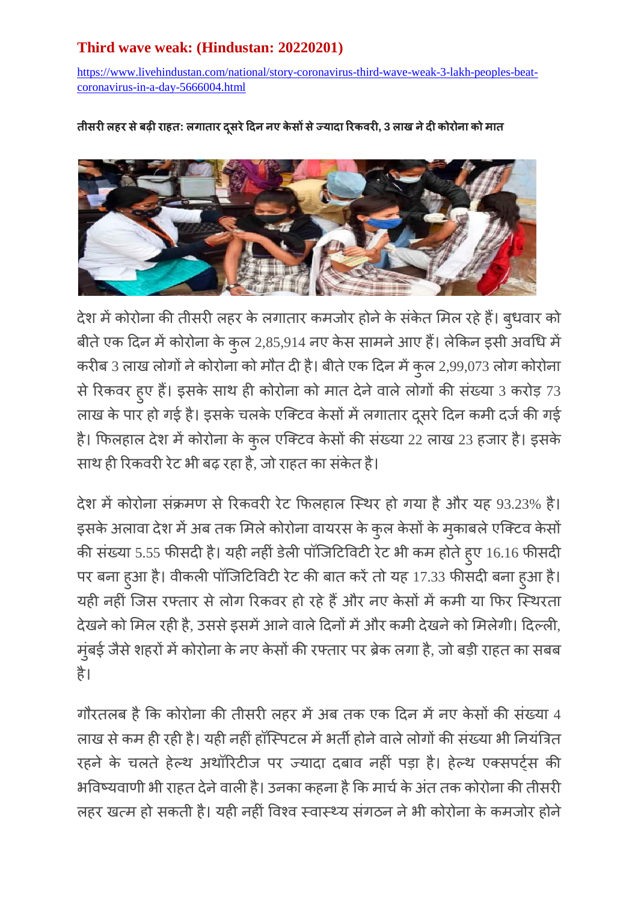## **Third wave weak: (Hindustan: 20220201)**

[https://www.livehindustan.com/national/story-coronavirus-third-wave-weak-3-lakh-peoples-beat](https://www.livehindustan.com/national/story-coronavirus-third-wave-weak-3-lakh-peoples-beat-coronavirus-in-a-day-5666004.html)[coronavirus-in-a-day-5666004.html](https://www.livehindustan.com/national/story-coronavirus-third-wave-weak-3-lakh-peoples-beat-coronavirus-in-a-day-5666004.html)

 **ल ब : ल ए क क , 3 ल क क** 



देश में कोरोना की तीसरी लहर के लगातार कमजोर होने के सकेत मिल रहे हैं। बुध बीते एक दिन में कोरोना के कुल 2,85,914 नए केस सामने आए हैं। लेकिन इसी अव करीब 3 लाख लोगों ने कोरोना को मौत दी है। बीते एक दिन में कुल 2,99,073 लो से रिकवर हुए हैं। इसके साथ ही कोरोना को मात देने वाले लोगों की संख्या 3 करोड़ 73 लाख के पार हो गई है। इसके चलके एक्टिव केसों में लगातार दूसरे दिन कमी दर्ज की गई है। फिलहाल देश में कोरोना के कुल एक्टिव केसों की संख्या 22 लाख 23 हजार है। साथ ही रिकवरी रेट भी बढ़ रहा है, जो राहत का संकेत है।

देश में कोरोना संक्रमण से रिकवरी रेट फिलहाल स्थिर हो गया है और यह 93.23% है। इसके अलावा देश में अब तक मिले कोरोना वायरस के कुल केसों के मुकाबले एो की संख्या 5.55 फीसदी है। यही नहीं डेली पॉजिटिविटी रेट भी कम होते हुए 16.16 फी पर बना हुआ है। वीकली पॉजिटिविटी रेट की बात करें तो यह 17.33 फीसदी बना हुआ है। यही नहीं जिस रफ्तार से लोग रिकवर हो रहे हैं और नए केसों में कमी या फिर स्थिरता देखने को मिल रही है, उससे इसमें आने वाले दिनों में और कमी देखने को मिलेगी। दिल्ली, मुंबई जैसे शहरों में कोरोना के नए केसों की रफ्तार पर ब्रेक लगा है, जो बड़ी राहत का सबब ह

गौरतलब है कि कोरोना की तीसरी लहर में अब तक एक दिन में नए केसों की संख्या 4 लाख से कम ही रही है। यही नहीं हॉस्पिटल में भर्ती होने वाले लोगों की संख्या भी नियंत्रित रहने के चलते हेल्थ अथॉरिटीज पर ज्यादा दबाव नहीं पड़ा है। हेल्थ एक्सपर्ट्स की भविष्यवाणी भी राहत देने वाली है। उनका कहना है कि मार्च के अंत तक कोरोना की तीसरी लहर खत्म हो सकती है। यही नहीं विश्व स्वास्थ्य संगठन ने भी कोरोना के कमजोर होने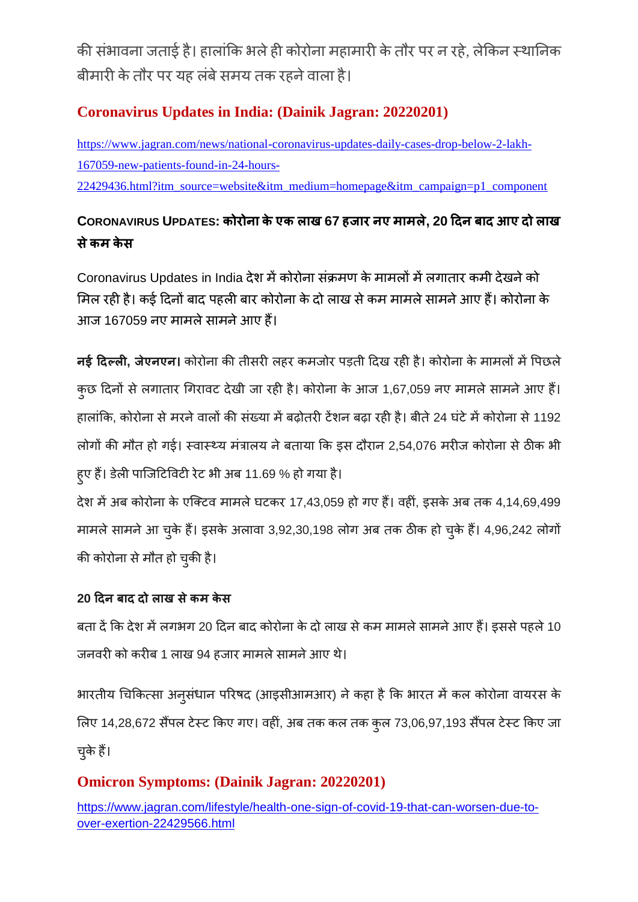की संभावना जताई है। हालांकि भले ही कोरोना महामारी के तौर पर न रहे, लेकिन स्थानिक बीमारी के तौर पर यह लंबे समय तक रहने वाला है।

## **Coronavirus Updates in India: (Dainik Jagran: 20220201)**

[https://www.jagran.com/news/national-coronavirus-updates-daily-cases-drop-below-2-lakh-](https://www.jagran.com/news/national-coronavirus-updates-daily-cases-drop-below-2-lakh-167059-new-patients-found-in-24-hours-22429436.html?itm_source=website&itm_medium=homepage&itm_campaign=p1_component)[167059-new-patients-found-in-24-hours-](https://www.jagran.com/news/national-coronavirus-updates-daily-cases-drop-below-2-lakh-167059-new-patients-found-in-24-hours-22429436.html?itm_source=website&itm_medium=homepage&itm_campaign=p1_component)[22429436.html?itm\\_source=website&itm\\_medium=homepage&itm\\_campaign=p1\\_component](https://www.jagran.com/news/national-coronavirus-updates-daily-cases-drop-below-2-lakh-167059-new-patients-found-in-24-hours-22429436.html?itm_source=website&itm_medium=homepage&itm_campaign=p1_component)

## **CORONAVIRUS UPDATES: क क एक ल 67 ए ल , 20 ब आए ल क क**

Coronavirus Updates in India देश में कोरोना संक्रमण के मामलों में लगातार कमी देखने को मिल रही है। कई दिनों बाद पहली बार कोरोना के दो लाख से कम मामले सामने आए हैं। कोरोना के आज 167059 नए मामले सामने आए हैं।

**नई दिल्ली, जेएनएन।** कोरोना की तीसरी लहर कमजोर पड़ती दिख रही है। कोरोना के मामलों में पिछले कुछ दिनों से लगातार गिरावट देखी जा रही है। कोरोना के आज 1,67,059 नए मामले सामने आए हैं। हालांकि, कोरोना से मरने वालों की संख्या में बढोतरी टेंशन बढा रही है। बीते 24 घंटे में कोरोना से 1192 लोगों की मौत हो गई। स्वास्थ्य मंत्रालय ने बताया कि इस दौरान 2,54,076 मरीज कोरोना से ठीक भी हुए हैं। डेली पाजिटिविटी रेट भी अब 11.69 % हो गया है।

देश में अब कोरोना के एक्टिव मामले घटकर 17,43,059 हो गए हैं। वहीं, इसके अब तक 4,14,69,499 मामले सामने आ चुके हैं। इसके अलावा 3,92,30,198 लोग अब तक ठीक हो चुके हैं। 4,96,242 लोगों की कोरोना से मौत हो चुकी है।

### 20 दिन बाद दो लाख से कम केस

बता दें कि देश में लगभग 20 दिन बाद कोरोना के दो लाख से कम मामले सामने आए हैं। इससे पहले 10 जनवरी को करीब 1 लाख 94 हजार मामले सामने आए थे।

भारतीय चिकित्सा अनूसंधान परिषद (आइसीआमआर) ने कहा है कि भारत में कल कोरोना वायरस के लिए 14,28,672 सैंपल टेस्ट किए गए। वहीं, अब तक कल तक कुल 73,06,97,193 सैंपल टेस्ट किए जा चुके हैं।

## **Omicron Symptoms: (Dainik Jagran: 20220201)**

[https://www.jagran.com/lifestyle/health-one-sign-of-covid-19-that-can-worsen-due-to](https://www.jagran.com/lifestyle/health-one-sign-of-covid-19-that-can-worsen-due-to-over-exertion-22429566.html)[over-exertion-22429566.html](https://www.jagran.com/lifestyle/health-one-sign-of-covid-19-that-can-worsen-due-to-over-exertion-22429566.html)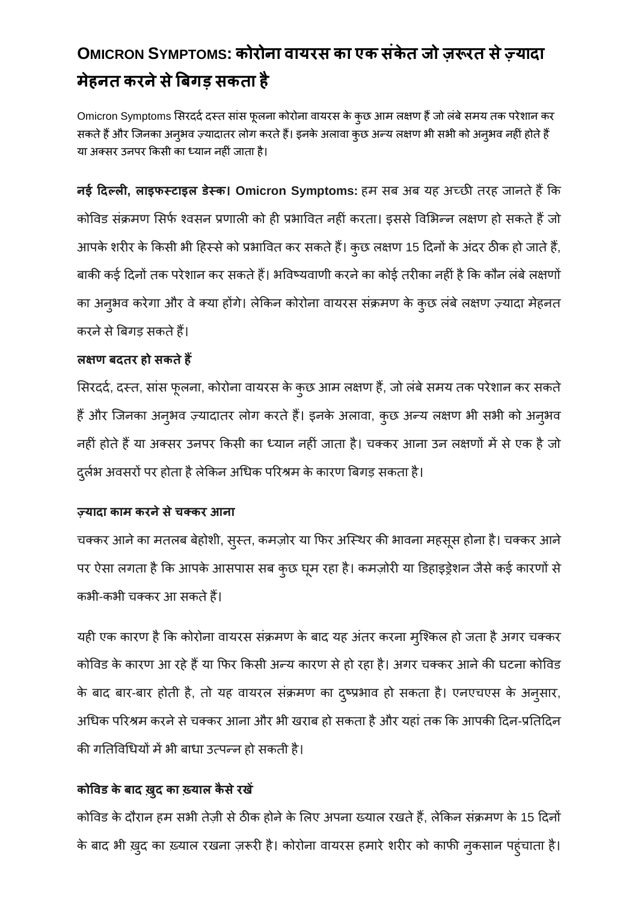## **OMICRON SYMPTOMS: क क एक क मेहनत करने से बिगड़ सकता है**

Omicron Symptoms सिरदर्द दस्त सांस फूलना कोरोना वायरस के कुछ आम लक्षण हैं जो लंबे समय तक परेशान कर सकते हैं और जिनका अन्अव ज़्यादातर लोग करते हैं। इनके अलावा कुछ अन्य लक्षण भी सभी को अन्अव नहीं होते हैं या अक्सर उनपर किसी का ध्यान नहीं जाता है।

**नई दिल्ली, लाइफस्टाइल डेस्क। Omicron Symptoms: हम सब अब यह अच्छी तरह जानते हैं कि** कोविड संक्रमण सिर्फ श्वसन प्रणाली को ही प्रभावित नहीं करता। इससे विभिन्न लक्षण हो सकते हैं जो आपके शरीर के किसी भी हिस्से को प्रभावित कर सकते हैं। कुछ लक्षण 15 दिनों के अंदर ठीक हो जाते हैं, बाकी कई दिनों तक परेशान कर सकते हैं। भविष्यवाणी करने का कोई तरीका नहीं है कि कौन लंबे लक्षणों का अनुभव करेगा और वे क्या होंगे। लेकिन कोरोना वायरस संक्रमण के कुछ लंबे लक्षण ज़्यादा मेहनत करने से बिगड़ सकते हैं।

#### लक्षण बदतर हो सकते हैं

सिरदर्द, दस्त, सांस फूलना, कोरोना वायरस के कुछ आम लक्षण हैं, जो लंबे समय तक परेशान कर सकते हैं और जिनका अन्अव ज़्यादातर लोग करते हैं। इनके अलावा, कुछ अन्य लक्षण भी सभी को अनुभव नहीं होते हैं या अक्सर उनपर किसी का ध्यान नहीं जाता है। चक्कर आना उन लक्षणों में से एक है जो दुर्लभ अवसरों पर होता है लेकिन अधिक परिश्रम के कारण बिगड़ सकता है।

#### ज़्यादा काम करने से चक्कर **आना**

चक्कर आने का मतलब बेहोशी, सुस्त, कमज़ोर या फिर अस्थिर की भावना महसूस होना है। चक्कर आने पर ऐसा लगता है कि आपके आसपास सब कुछ घूम रहा है। कमज़ोरी या डिहाइड्रेशन जैसे कई कारणों से कभी-कभी चक्कर आ सकते हैं।

यही एक कारण है कि कोरोना वायरस संक्रमण के बाद यह अंतर करना म्शिकल हो जता है अगर चक्कर कोविड के कारण आ रहे हैं या फिर किसी अन्य कारण से हो रहा है। अगर चक्कर आने की घटना कोविड के बाद बार-बार होती है, तो यह वायरल संक्रमण का द्रष्प्रभाव हो सकता है। एनएचएस के अनुसार, अधिक परिश्रम करने से चक्कर आना और भी खराब हो सकता है और यहां तक कि आपकी दिन-प्रतिदिन की गतिविधियों में भी बाधा उत्पन्न हो सकती है।

## कोविड के बाद ख़ुद का ख़्याल कैसे रखें

कोविड के दौरान हम सभी तेज़ी से ठीक होने के लिए अपना ख्याल रखते हैं, लेकिन संक्रमण के 15 दिनों के बाद भी ख़ुद का ख़्याल रखना ज़रूरी है। कोरोना वायरस हमारे शरीर को काफी नुकसान पहुंचाता है।